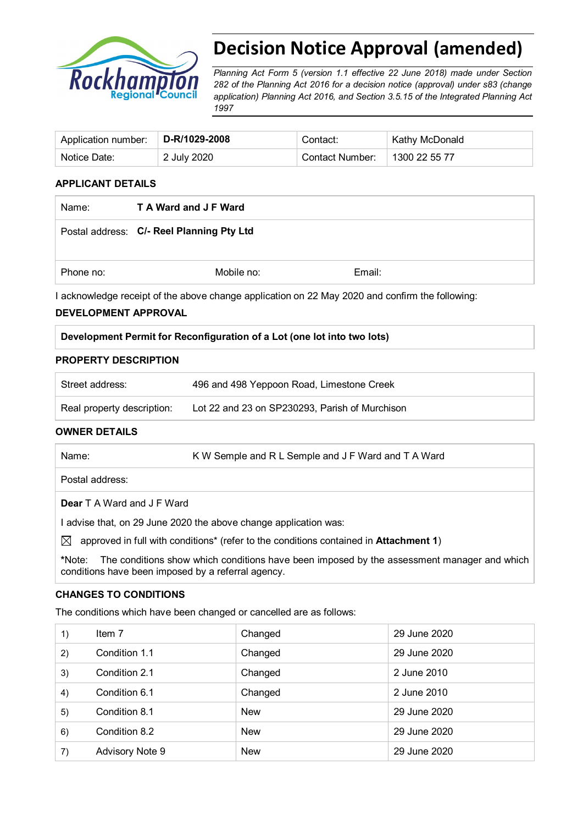

# **Decision Notice Approval (amended)**

*Planning Act Form 5 (version 1.1 effective 22 June 2018) made under Section 282 of the Planning Act 2016 for a decision notice (approval) under s83 (change application) Planning Act 2016, and Section 3.5.15 of the Integrated Planning Act 1997*

| Application number:   D-R/1029-2008 |             | Contact:        | Kathy McDonald |
|-------------------------------------|-------------|-----------------|----------------|
| Notice Date:                        | 2 July 2020 | Contact Number: | 1300 22 55 77  |

#### **APPLICANT DETAILS**

| Name:     | <b>T A Ward and J F Ward</b>              |        |  |
|-----------|-------------------------------------------|--------|--|
|           | Postal address: C/- Reel Planning Pty Ltd |        |  |
| Phone no: | Mobile no:                                | Email: |  |

I acknowledge receipt of the above change application on 22 May 2020 and confirm the following:

#### **DEVELOPMENT APPROVAL**

#### **Development Permit for Reconfiguration of a Lot (one lot into two lots)**

#### **PROPERTY DESCRIPTION**

| Street address:            | 496 and 498 Yeppoon Road, Limestone Creek      |
|----------------------------|------------------------------------------------|
| Real property description: | Lot 22 and 23 on SP230293, Parish of Murchison |

#### **OWNER DETAILS**

| Name:                             | K W Semple and R L Semple and J F Ward and T A Ward |
|-----------------------------------|-----------------------------------------------------|
| Postal address:                   |                                                     |
| <b>Dear</b> T A Ward and J F Ward |                                                     |

I advise that, on 29 June 2020 the above change application was:

 $\boxtimes$  approved in full with conditions<sup>\*</sup> (refer to the conditions contained in **Attachment 1**)

**\***Note:The conditions show which conditions have been imposed by the assessment manager and which conditions have been imposed by a referral agency.

#### **CHANGES TO CONDITIONS**

The conditions which have been changed or cancelled are as follows:

| $\left( \begin{matrix} 1 \end{matrix} \right)$ | Item 7          | Changed    | 29 June 2020 |
|------------------------------------------------|-----------------|------------|--------------|
| 2)                                             | Condition 1.1   | Changed    | 29 June 2020 |
| 3)                                             | Condition 2.1   | Changed    | 2 June 2010  |
| 4)                                             | Condition 6.1   | Changed    | 2 June 2010  |
| 5)                                             | Condition 8.1   | <b>New</b> | 29 June 2020 |
| 6)                                             | Condition 8.2   | <b>New</b> | 29 June 2020 |
| 7)                                             | Advisory Note 9 | <b>New</b> | 29 June 2020 |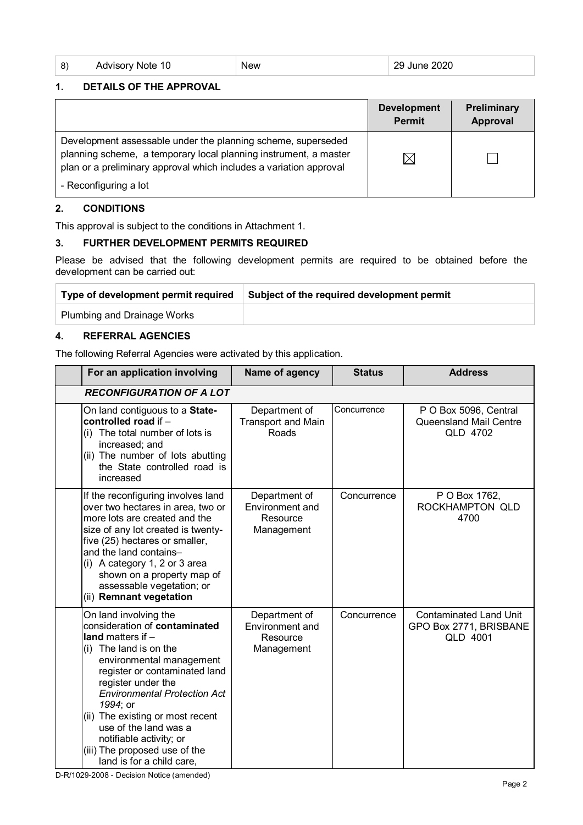| 8) | Advisory Note 10 | <b>New</b> | 29 June 2020 |
|----|------------------|------------|--------------|
|    |                  |            |              |

### **1. DETAILS OF THE APPROVAL**

|                                                                                                                                                                                                        | <b>Development</b><br><b>Permit</b> | Preliminary<br>Approval |
|--------------------------------------------------------------------------------------------------------------------------------------------------------------------------------------------------------|-------------------------------------|-------------------------|
| Development assessable under the planning scheme, superseded<br>planning scheme, a temporary local planning instrument, a master<br>plan or a preliminary approval which includes a variation approval |                                     |                         |
| - Reconfiguring a lot                                                                                                                                                                                  |                                     |                         |

### **2. CONDITIONS**

This approval is subject to the conditions in Attachment 1.

#### **3. FURTHER DEVELOPMENT PERMITS REQUIRED**

Please be advised that the following development permits are required to be obtained before the development can be carried out:

| Type of development permit required | Subject of the required development permit |
|-------------------------------------|--------------------------------------------|
| <b>Plumbing and Drainage Works</b>  |                                            |

#### **4. REFERRAL AGENCIES**

The following Referral Agencies were activated by this application.

| For an application involving                                                                                                                                                                                                                                                                                                                                                                        | Name of agency                                                    | <b>Status</b> | <b>Address</b>                                                      |
|-----------------------------------------------------------------------------------------------------------------------------------------------------------------------------------------------------------------------------------------------------------------------------------------------------------------------------------------------------------------------------------------------------|-------------------------------------------------------------------|---------------|---------------------------------------------------------------------|
| <b>RECONFIGURATION OF A LOT</b>                                                                                                                                                                                                                                                                                                                                                                     |                                                                   |               |                                                                     |
| On land contiguous to a State-<br>controlled road if -<br>The total number of lots is<br>(i)<br>increased; and<br>(ii) The number of lots abutting<br>the State controlled road is<br>increased                                                                                                                                                                                                     | Department of<br><b>Transport and Main</b><br>Roads               | Concurrence   | P O Box 5096, Central<br><b>Queensland Mail Centre</b><br>QLD 4702  |
| If the reconfiguring involves land<br>over two hectares in area, two or<br>more lots are created and the<br>size of any lot created is twenty-<br>five (25) hectares or smaller,<br>and the land contains-<br>(i) A category 1, 2 or 3 area<br>shown on a property map of<br>assessable vegetation; or<br>(ii) Remnant vegetation                                                                   | Department of<br><b>Environment and</b><br>Resource<br>Management | Concurrence   | P O Box 1762,<br>ROCKHAMPTON QLD<br>4700                            |
| On land involving the<br>consideration of contaminated<br>land matters if $-$<br>(i) The land is on the<br>environmental management<br>register or contaminated land<br>register under the<br><b>Environmental Protection Act</b><br>1994; or<br>(ii) The existing or most recent<br>use of the land was a<br>notifiable activity; or<br>(iii) The proposed use of the<br>land is for a child care, | Department of<br><b>Environment</b> and<br>Resource<br>Management | Concurrence   | <b>Contaminated Land Unit</b><br>GPO Box 2771, BRISBANE<br>QLD 4001 |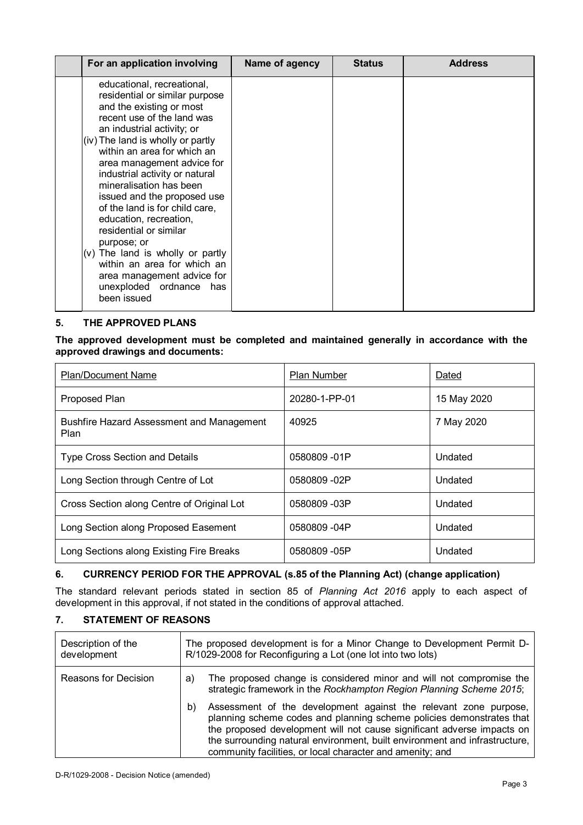| For an application involving                                                                                                                                                                                                                                                                                                                                                                                                                                                                                                                                                                       | Name of agency | <b>Status</b> | <b>Address</b> |
|----------------------------------------------------------------------------------------------------------------------------------------------------------------------------------------------------------------------------------------------------------------------------------------------------------------------------------------------------------------------------------------------------------------------------------------------------------------------------------------------------------------------------------------------------------------------------------------------------|----------------|---------------|----------------|
| educational, recreational,<br>residential or similar purpose<br>and the existing or most<br>recent use of the land was<br>an industrial activity; or<br>(iv) The land is wholly or partly<br>within an area for which an<br>area management advice for<br>industrial activity or natural<br>mineralisation has been<br>issued and the proposed use<br>of the land is for child care,<br>education, recreation,<br>residential or similar<br>purpose; or<br>(v) The land is wholly or partly<br>within an area for which an<br>area management advice for<br>unexploded ordnance has<br>been issued |                |               |                |

#### **5. THE APPROVED PLANS**

**The approved development must be completed and maintained generally in accordance with the approved drawings and documents:**

| <b>Plan/Document Name</b>                                | Plan Number   | Dated       |
|----------------------------------------------------------|---------------|-------------|
| Proposed Plan                                            | 20280-1-PP-01 | 15 May 2020 |
| <b>Bushfire Hazard Assessment and Management</b><br>Plan | 40925         | 7 May 2020  |
| <b>Type Cross Section and Details</b>                    | 0580809-01P   | Undated     |
| Long Section through Centre of Lot                       | 0580809-02P   | Undated     |
| Cross Section along Centre of Original Lot               | 0580809-03P   | Undated     |
| Long Section along Proposed Easement                     | 0580809 -04P  | Undated     |
| Long Sections along Existing Fire Breaks                 | 0580809 -05P  | Undated     |

### **6. CURRENCY PERIOD FOR THE APPROVAL (s.85 of the Planning Act) (change application)**

The standard relevant periods stated in section 85 of *Planning Act 2016* apply to each aspect of development in this approval, if not stated in the conditions of approval attached.

## **7. STATEMENT OF REASONS**

| Description of the<br>development | The proposed development is for a Minor Change to Development Permit D-<br>R/1029-2008 for Reconfiguring a Lot (one lot into two lots) |                                                                                                                                                                                                                                                                                                                                                               |
|-----------------------------------|----------------------------------------------------------------------------------------------------------------------------------------|---------------------------------------------------------------------------------------------------------------------------------------------------------------------------------------------------------------------------------------------------------------------------------------------------------------------------------------------------------------|
| Reasons for Decision              | a)                                                                                                                                     | The proposed change is considered minor and will not compromise the<br>strategic framework in the Rockhampton Region Planning Scheme 2015;                                                                                                                                                                                                                    |
|                                   | b)                                                                                                                                     | Assessment of the development against the relevant zone purpose,<br>planning scheme codes and planning scheme policies demonstrates that<br>the proposed development will not cause significant adverse impacts on<br>the surrounding natural environment, built environment and infrastructure,<br>community facilities, or local character and amenity; and |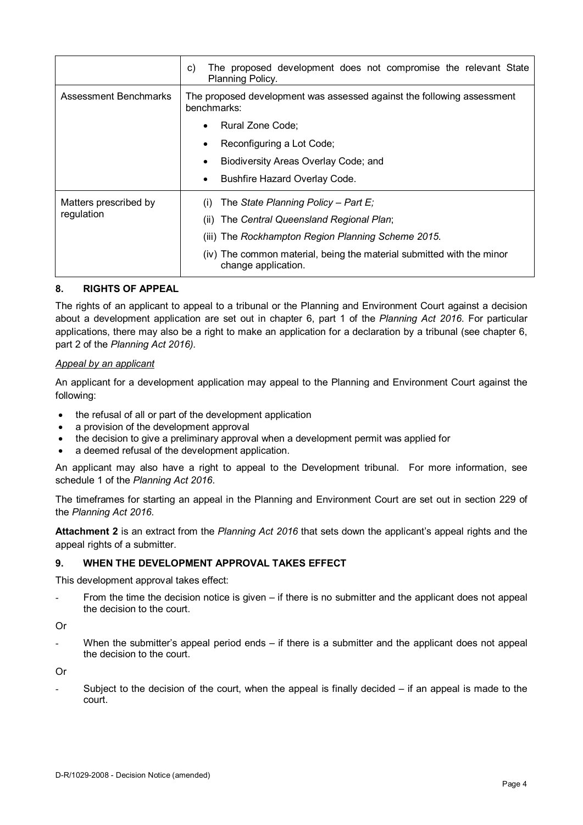|                       | The proposed development does not compromise the relevant State<br>C)<br>Planning Policy.    |  |  |  |  |
|-----------------------|----------------------------------------------------------------------------------------------|--|--|--|--|
| Assessment Benchmarks | The proposed development was assessed against the following assessment<br>benchmarks:        |  |  |  |  |
|                       | Rural Zone Code:<br>$\bullet$                                                                |  |  |  |  |
|                       | Reconfiguring a Lot Code;<br>$\bullet$                                                       |  |  |  |  |
|                       | Biodiversity Areas Overlay Code; and<br>$\bullet$                                            |  |  |  |  |
|                       | Bushfire Hazard Overlay Code.<br>$\bullet$                                                   |  |  |  |  |
| Matters prescribed by | (i) The State Planning Policy – Part E:                                                      |  |  |  |  |
| regulation            | (ii) The Central Queensland Regional Plan;                                                   |  |  |  |  |
|                       | (iii) The Rockhampton Region Planning Scheme 2015.                                           |  |  |  |  |
|                       | (iv) The common material, being the material submitted with the minor<br>change application. |  |  |  |  |

#### **8. RIGHTS OF APPEAL**

The rights of an applicant to appeal to a tribunal or the Planning and Environment Court against a decision about a development application are set out in chapter 6, part 1 of the *Planning Act 2016*. For particular applications, there may also be a right to make an application for a declaration by a tribunal (see chapter 6, part 2 of the *Planning Act 2016).*

#### *Appeal by an applicant*

An applicant for a development application may appeal to the Planning and Environment Court against the following:

- the refusal of all or part of the development application
- a provision of the development approval
- the decision to give a preliminary approval when a development permit was applied for
- a deemed refusal of the development application.

An applicant may also have a right to appeal to the Development tribunal. For more information, see schedule 1 of the *Planning Act 2016*.

The timeframes for starting an appeal in the Planning and Environment Court are set out in section 229 of the *Planning Act 2016*.

**Attachment 2** is an extract from the *Planning Act 2016* that sets down the applicant's appeal rights and the appeal rights of a submitter.

#### **9. WHEN THE DEVELOPMENT APPROVAL TAKES EFFECT**

This development approval takes effect:

From the time the decision notice is given – if there is no submitter and the applicant does not appeal the decision to the court.

Or

When the submitter's appeal period ends – if there is a submitter and the applicant does not appeal the decision to the court.

Or

Subject to the decision of the court, when the appeal is finally decided  $-$  if an appeal is made to the court.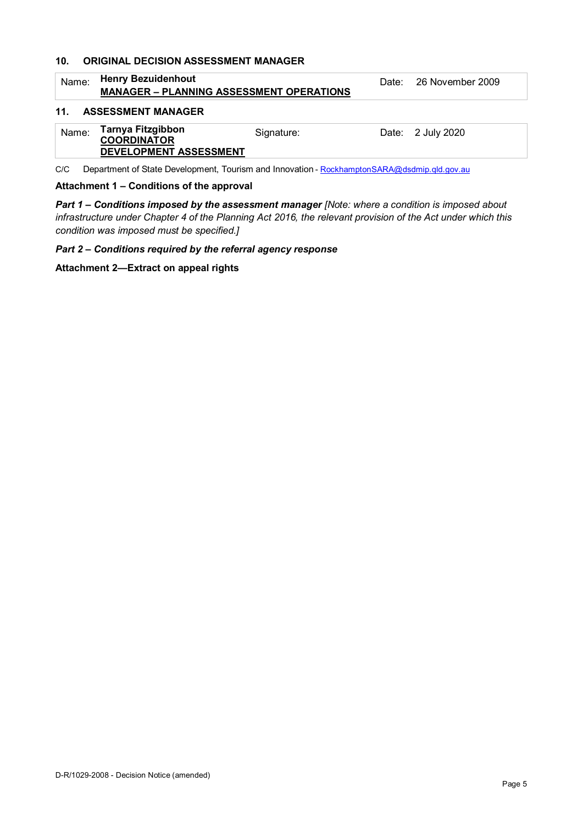#### **10. ORIGINAL DECISION ASSESSMENT MANAGER**

| Name: | <b>Henry Bezuidenhout</b><br><b>MANAGER – PLANNING ASSESSMENT OPERATIONS</b> |            | Date: 26 November 2009 |
|-------|------------------------------------------------------------------------------|------------|------------------------|
| 11.   | <b>ASSESSMENT MANAGER</b>                                                    |            |                        |
| Name: | Tarnya Fitzgibbon<br><b>COORDINATOR</b><br>DEVELOPMENT ASSESSMENT            | Signature: | Date: 2 July 2020      |

C/C Department of State Development, Tourism and Innovation - [RockhamptonSARA@dsdmip.qld.gov.au](mailto:RockhamptonSARA@dsdmip.qld.gov.au)

#### **Attachment 1 – Conditions of the approval**

*Part 1* **–** *Conditions imposed by the assessment manager [Note: where a condition is imposed about infrastructure under Chapter 4 of the Planning Act 2016, the relevant provision of the Act under which this condition was imposed must be specified.]*

*Part 2 – Conditions required by the referral agency response* 

**Attachment 2—Extract on appeal rights**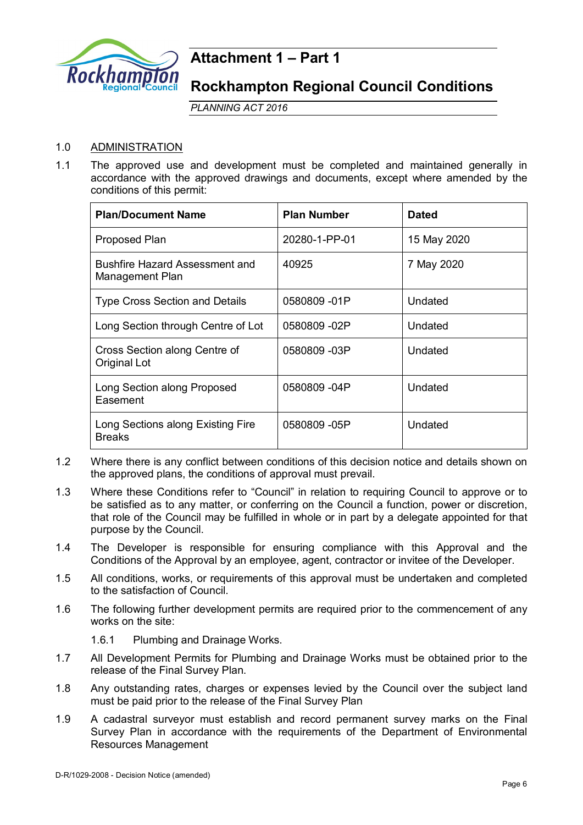

## **Attachment 1 – Part 1**

**Rockhampton Regional Council Conditions**

*PLANNING ACT 2016*

## 1.0 ADMINISTRATION

1.1 The approved use and development must be completed and maintained generally in accordance with the approved drawings and documents, except where amended by the conditions of this permit:

| <b>Plan/Document Name</b>                                | <b>Plan Number</b> | <b>Dated</b> |
|----------------------------------------------------------|--------------------|--------------|
| <b>Proposed Plan</b>                                     | 20280-1-PP-01      | 15 May 2020  |
| <b>Bushfire Hazard Assessment and</b><br>Management Plan | 40925              | 7 May 2020   |
| <b>Type Cross Section and Details</b>                    | 0580809 -01P       | Undated      |
| Long Section through Centre of Lot                       | 0580809 -02P       | Undated      |
| Cross Section along Centre of<br>Original Lot            | 0580809 -03P       | Undated      |
| Long Section along Proposed<br>Easement                  | 0580809 -04P       | Undated      |
| Long Sections along Existing Fire<br><b>Breaks</b>       | 0580809 -05P       | Undated      |

- 1.2 Where there is any conflict between conditions of this decision notice and details shown on the approved plans, the conditions of approval must prevail.
- 1.3 Where these Conditions refer to "Council" in relation to requiring Council to approve or to be satisfied as to any matter, or conferring on the Council a function, power or discretion, that role of the Council may be fulfilled in whole or in part by a delegate appointed for that purpose by the Council.
- 1.4 The Developer is responsible for ensuring compliance with this Approval and the Conditions of the Approval by an employee, agent, contractor or invitee of the Developer.
- 1.5 All conditions, works, or requirements of this approval must be undertaken and completed to the satisfaction of Council.
- 1.6 The following further development permits are required prior to the commencement of any works on the site:

1.6.1 Plumbing and Drainage Works.

- 1.7 All Development Permits for Plumbing and Drainage Works must be obtained prior to the release of the Final Survey Plan.
- 1.8 Any outstanding rates, charges or expenses levied by the Council over the subject land must be paid prior to the release of the Final Survey Plan
- 1.9 A cadastral surveyor must establish and record permanent survey marks on the Final Survey Plan in accordance with the requirements of the Department of Environmental Resources Management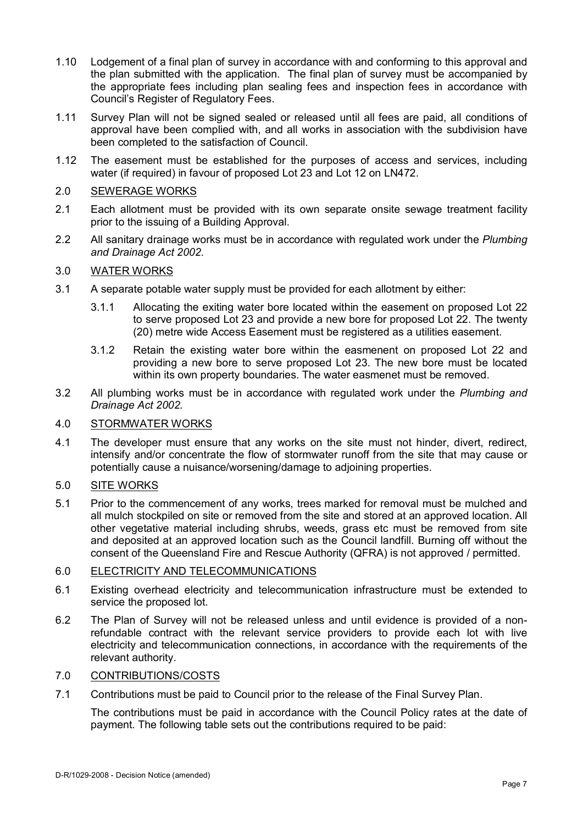- 1.10 Lodgement of a final plan of survey in accordance with and conforming to this approval and the plan submitted with the application. The final plan of survey must be accompanied by the appropriate fees including plan sealing fees and inspection fees in accordance with Council's Register of Regulatory Fees.
- 1.11 Survey Plan will not be signed sealed or released until all fees are paid, all conditions of approval have been complied with, and all works in association with the subdivision have been completed to the satisfaction of Council.
- 1.12 The easement must be established for the purposes of access and services, including water (if required) in favour of proposed Lot 23 and Lot 12 on LN472.

## 2.0 SEWERAGE WORKS

- 2.1 Each allotment must be provided with its own separate onsite sewage treatment facility prior to the issuing of a Building Approval.
- 2.2 All sanitary drainage works must be in accordance with regulated work under the *Plumbing and Drainage Act 2002.*

#### 3.0 WATER WORKS

- 3.1 A separate potable water supply must be provided for each allotment by either:
	- 3.1.1 Allocating the exiting water bore located within the easement on proposed Lot 22 to serve proposed Lot 23 and provide a new bore for proposed Lot 22. The twenty (20) metre wide Access Easement must be registered as a utilities easement.
	- 3.1.2 Retain the existing water bore within the easmenent on proposed Lot 22 and providing a new bore to serve proposed Lot 23. The new bore must be located within its own property boundaries. The water easmenet must be removed.
- 3.2 All plumbing works must be in accordance with regulated work under the *Plumbing and Drainage Act 2002.*

#### 4.0 STORMWATER WORKS

4.1 The developer must ensure that any works on the site must not hinder, divert, redirect, intensify and/or concentrate the flow of stormwater runoff from the site that may cause or potentially cause a nuisance/worsening/damage to adjoining properties.

#### 5.0 SITE WORKS

5.1 Prior to the commencement of any works, trees marked for removal must be mulched and all mulch stockpiled on site or removed from the site and stored at an approved location. All other vegetative material including shrubs, weeds, grass etc must be removed from site and deposited at an approved location such as the Council landfill. Burning off without the consent of the Queensland Fire and Rescue Authority (QFRA) is not approved / permitted.

#### 6.0 ELECTRICITY AND TELECOMMUNICATIONS

- 6.1 Existing overhead electricity and telecommunication infrastructure must be extended to service the proposed lot.
- 6.2 The Plan of Survey will not be released unless and until evidence is provided of a nonrefundable contract with the relevant service providers to provide each lot with live electricity and telecommunication connections, in accordance with the requirements of the relevant authority.

## 7.0 CONTRIBUTIONS/COSTS

7.1 Contributions must be paid to Council prior to the release of the Final Survey Plan.

The contributions must be paid in accordance with the Council Policy rates at the date of payment. The following table sets out the contributions required to be paid: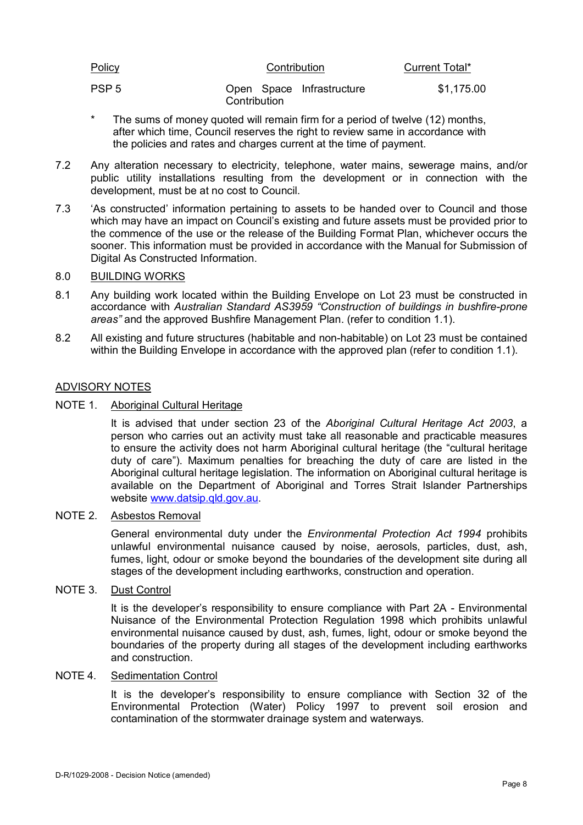| Policy           | Contribution                              | Current Total* |
|------------------|-------------------------------------------|----------------|
| PSP <sub>5</sub> | Open Space Infrastructure<br>Contribution | \$1,175.00     |

- \* The sums of money quoted will remain firm for a period of twelve (12) months, after which time, Council reserves the right to review same in accordance with the policies and rates and charges current at the time of payment.
- 7.2 Any alteration necessary to electricity, telephone, water mains, sewerage mains, and/or public utility installations resulting from the development or in connection with the development, must be at no cost to Council.
- 7.3 'As constructed' information pertaining to assets to be handed over to Council and those which may have an impact on Council's existing and future assets must be provided prior to the commence of the use or the release of the Building Format Plan, whichever occurs the sooner. This information must be provided in accordance with the Manual for Submission of Digital As Constructed Information.
- 8.0 BUILDING WORKS
- 8.1 Any building work located within the Building Envelope on Lot 23 must be constructed in accordance with *Australian Standard AS3959 "Construction of buildings in bushfire-prone areas"* and the approved Bushfire Management Plan. (refer to condition 1.1).
- 8.2 All existing and future structures (habitable and non-habitable) on Lot 23 must be contained within the Building Envelope in accordance with the approved plan (refer to condition 1.1).

#### ADVISORY NOTES

NOTE 1. Aboriginal Cultural Heritage

It is advised that under section 23 of the *Aboriginal Cultural Heritage Act 2003*, a person who carries out an activity must take all reasonable and practicable measures to ensure the activity does not harm Aboriginal cultural heritage (the "cultural heritage duty of care"). Maximum penalties for breaching the duty of care are listed in the Aboriginal cultural heritage legislation. The information on Aboriginal cultural heritage is available on the Department of Aboriginal and Torres Strait Islander Partnerships website [www.datsip.qld.gov.au.](http://www.datsip.qld.gov.au/)

#### NOTE 2. Asbestos Removal

General environmental duty under the *Environmental Protection Act 1994* prohibits unlawful environmental nuisance caused by noise, aerosols, particles, dust, ash, fumes, light, odour or smoke beyond the boundaries of the development site during all stages of the development including earthworks, construction and operation.

#### NOTE 3. Dust Control

It is the developer's responsibility to ensure compliance with Part 2A - Environmental Nuisance of the Environmental Protection Regulation 1998 which prohibits unlawful environmental nuisance caused by dust, ash, fumes, light, odour or smoke beyond the boundaries of the property during all stages of the development including earthworks and construction.

#### NOTE 4. Sedimentation Control

It is the developer's responsibility to ensure compliance with Section 32 of the Environmental Protection (Water) Policy 1997 to prevent soil erosion and contamination of the stormwater drainage system and waterways.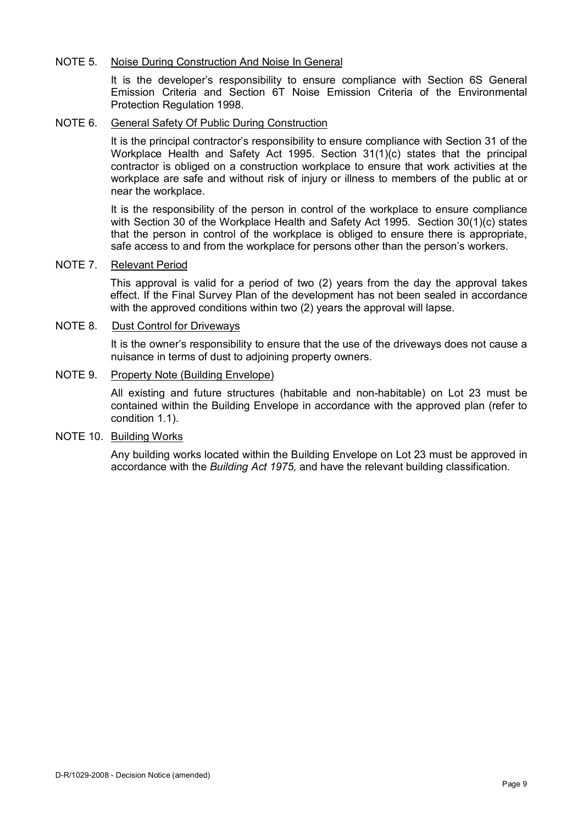#### NOTE 5. Noise During Construction And Noise In General

It is the developer's responsibility to ensure compliance with Section 6S General Emission Criteria and Section 6T Noise Emission Criteria of the Environmental Protection Regulation 1998.

### NOTE 6. General Safety Of Public During Construction

It is the principal contractor's responsibility to ensure compliance with Section 31 of the Workplace Health and Safety Act 1995. Section 31(1)(c) states that the principal contractor is obliged on a construction workplace to ensure that work activities at the workplace are safe and without risk of injury or illness to members of the public at or near the workplace.

It is the responsibility of the person in control of the workplace to ensure compliance with Section 30 of the Workplace Health and Safety Act 1995. Section 30(1)(c) states that the person in control of the workplace is obliged to ensure there is appropriate, safe access to and from the workplace for persons other than the person's workers.

### NOTE 7. Relevant Period

This approval is valid for a period of two (2) years from the day the approval takes effect. If the Final Survey Plan of the development has not been sealed in accordance with the approved conditions within two (2) years the approval will lapse.

#### NOTE 8. Dust Control for Driveways

It is the owner's responsibility to ensure that the use of the driveways does not cause a nuisance in terms of dust to adjoining property owners.

#### NOTE 9. Property Note (Building Envelope)

All existing and future structures (habitable and non-habitable) on Lot 23 must be contained within the Building Envelope in accordance with the approved plan (refer to condition 1.1).

### NOTE 10. Building Works

Any building works located within the Building Envelope on Lot 23 must be approved in accordance with the *Building Act 1975,* and have the relevant building classification.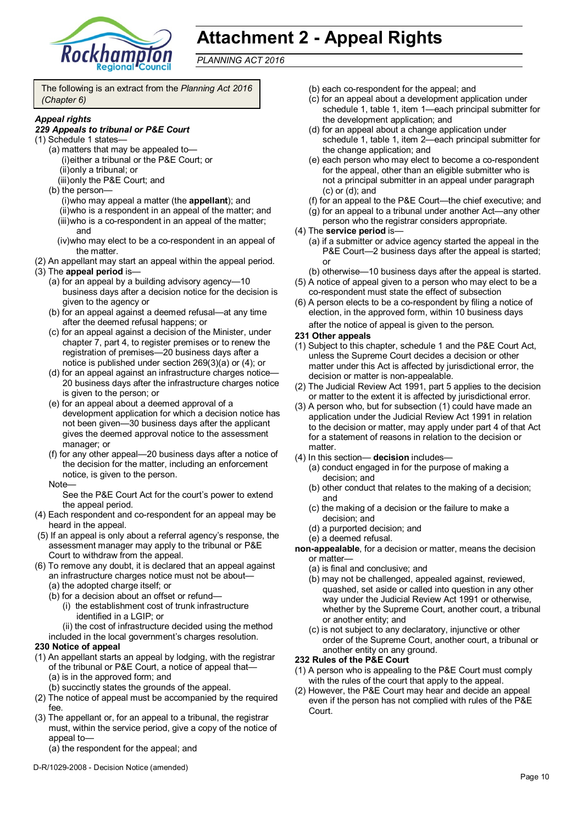

# **Attachment 2 - Appeal Rights**

*PLANNING ACT 2016*

The following is an extract from the *Planning Act 2016 (Chapter 6)*

#### *Appeal rights*

#### *229 Appeals to tribunal or P&E Court*

- (1) Schedule 1 states—
	- (a) matters that may be appealed to— (i)either a tribunal or the P&E Court; or (ii)only a tribunal; or (iii)only the P&E Court; and
	- (b) the person—

(i)who may appeal a matter (the **appellant**); and (ii)who is a respondent in an appeal of the matter; and (iii)who is a co-respondent in an appeal of the matter; and

- (iv)who may elect to be a co-respondent in an appeal of the matter.
- (2) An appellant may start an appeal within the appeal period.
- (3) The **appeal period** is—
	- (a) for an appeal by a building advisory agency—10 business days after a decision notice for the decision is given to the agency or
	- (b) for an appeal against a deemed refusal—at any time after the deemed refusal happens; or
	- (c) for an appeal against a decision of the Minister, under chapter 7, part 4, to register premises or to renew the registration of premises—20 business days after a notice is published under section 269(3)(a) or (4); or
	- (d) for an appeal against an infrastructure charges notice— 20 business days after the infrastructure charges notice is given to the person; or
	- (e) for an appeal about a deemed approval of a development application for which a decision notice has not been given—30 business days after the applicant gives the deemed approval notice to the assessment manager; or
	- (f) for any other appeal—20 business days after a notice of the decision for the matter, including an enforcement notice, is given to the person.
	- Note—

See the P&E Court Act for the court's power to extend the appeal period.

- (4) Each respondent and co-respondent for an appeal may be heard in the appeal.
- (5) If an appeal is only about a referral agency's response, the assessment manager may apply to the tribunal or P&E Court to withdraw from the appeal.
- (6) To remove any doubt, it is declared that an appeal against an infrastructure charges notice must not be about—
	- (a) the adopted charge itself; or
	- (b) for a decision about an offset or refund—
		- (i) the establishment cost of trunk infrastructure identified in a LGIP; or
		- (ii) the cost of infrastructure decided using the method
	- included in the local government's charges resolution.

#### **230 Notice of appeal**

- (1) An appellant starts an appeal by lodging, with the registrar of the tribunal or P&E Court, a notice of appeal that— (a) is in the approved form; and
	- (b) succinctly states the grounds of the appeal.
- (2) The notice of appeal must be accompanied by the required fee.
- (3) The appellant or, for an appeal to a tribunal, the registrar must, within the service period, give a copy of the notice of appeal to—

(a) the respondent for the appeal; and

D-R/1029-2008 - Decision Notice (amended)

- (b) each co-respondent for the appeal; and
- (c) for an appeal about a development application under schedule 1, table 1, item 1—each principal submitter for the development application; and
- (d) for an appeal about a change application under schedule 1, table 1, item 2—each principal submitter for the change application; and
- (e) each person who may elect to become a co-respondent for the appeal, other than an eligible submitter who is not a principal submitter in an appeal under paragraph (c) or (d); and
- (f) for an appeal to the P&E Court—the chief executive; and
- (g) for an appeal to a tribunal under another Act—any other person who the registrar considers appropriate.
- (4) The **service period** is—
	- (a) if a submitter or advice agency started the appeal in the P&E Court—2 business days after the appeal is started; or
	- (b) otherwise—10 business days after the appeal is started.
- (5) A notice of appeal given to a person who may elect to be a co-respondent must state the effect of subsection
- (6) A person elects to be a co-respondent by filing a notice of election, in the approved form, within 10 business days
- after the notice of appeal is given to the person*.* **231 Other appeals**
- (1) Subject to this chapter, schedule 1 and the P&E Court Act, unless the Supreme Court decides a decision or other matter under this Act is affected by jurisdictional error, the decision or matter is non-appealable.
- (2) The Judicial Review Act 1991, part 5 applies to the decision or matter to the extent it is affected by jurisdictional error.
- (3) A person who, but for subsection (1) could have made an application under the Judicial Review Act 1991 in relation to the decision or matter, may apply under part 4 of that Act for a statement of reasons in relation to the decision or matter
- (4) In this section— **decision** includes—
	- (a) conduct engaged in for the purpose of making a decision; and
	- (b) other conduct that relates to the making of a decision; and
	- (c) the making of a decision or the failure to make a decision; and
	- (d) a purported decision; and
	- (e) a deemed refusal.

**non-appealable**, for a decision or matter, means the decision or matter-

- (a) is final and conclusive; and
- (b) may not be challenged, appealed against, reviewed, quashed, set aside or called into question in any other way under the Judicial Review Act 1991 or otherwise, whether by the Supreme Court, another court, a tribunal or another entity; and
- (c) is not subject to any declaratory, injunctive or other order of the Supreme Court, another court, a tribunal or another entity on any ground.

#### **232 Rules of the P&E Court**

- (1) A person who is appealing to the P&E Court must comply with the rules of the court that apply to the appeal.
- (2) However, the P&E Court may hear and decide an appeal even if the person has not complied with rules of the P&E Court.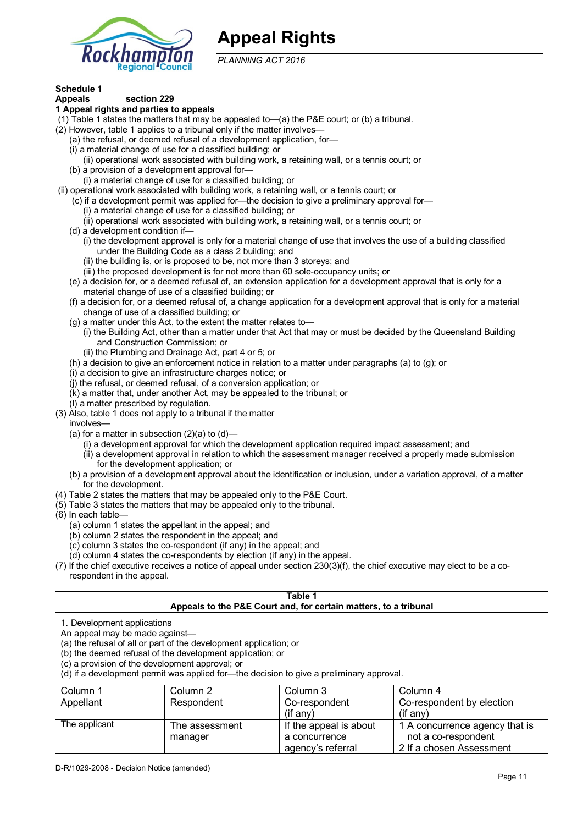

## **Appeal Rights**

*PLANNING ACT 2016*

## **Schedule 1**

#### **Appeals section 229 1 Appeal rights and parties to appeals**

- (1) Table 1 states the matters that may be appealed to—(a) the P&E court; or (b) a tribunal.
- (2) However, table 1 applies to a tribunal only if the matter involves—
	- (a) the refusal, or deemed refusal of a development application, for—
	- (i) a material change of use for a classified building; or
	- (ii) operational work associated with building work, a retaining wall, or a tennis court; or
	- (b) a provision of a development approval for—
	- (i) a material change of use for a classified building; or
- (ii) operational work associated with building work, a retaining wall, or a tennis court; or
	- (c) if a development permit was applied for—the decision to give a preliminary approval for—
		- (i) a material change of use for a classified building; or
		- (ii) operational work associated with building work, a retaining wall, or a tennis court; or
	- (d) a development condition if—
		- (i) the development approval is only for a material change of use that involves the use of a building classified under the Building Code as a class 2 building; and
			- (ii) the building is, or is proposed to be, not more than 3 storeys; and
		- (iii) the proposed development is for not more than 60 sole-occupancy units; or
	- (e) a decision for, or a deemed refusal of, an extension application for a development approval that is only for a material change of use of a classified building; or
	- (f) a decision for, or a deemed refusal of, a change application for a development approval that is only for a material change of use of a classified building; or
	- (g) a matter under this Act, to the extent the matter relates to—
		- (i) the Building Act, other than a matter under that Act that may or must be decided by the Queensland Building and Construction Commission; or
		- (ii) the Plumbing and Drainage Act, part 4 or 5; or
	- (h) a decision to give an enforcement notice in relation to a matter under paragraphs (a) to (g); or
	- (i) a decision to give an infrastructure charges notice; or
	- (j) the refusal, or deemed refusal, of a conversion application; or
	- $(K)$  a matter that, under another Act, may be appealed to the tribunal; or
	- (l) a matter prescribed by regulation.
- (3) Also, table 1 does not apply to a tribunal if the matter
- involves—
	- (a) for a matter in subsection (2)(a) to (d)—
		- (i) a development approval for which the development application required impact assessment; and
		- (ii) a development approval in relation to which the assessment manager received a properly made submission for the development application; or
	- (b) a provision of a development approval about the identification or inclusion, under a variation approval, of a matter for the development.
- (4) Table 2 states the matters that may be appealed only to the P&E Court.
- (5) Table 3 states the matters that may be appealed only to the tribunal.
- (6) In each table—
	- (a) column 1 states the appellant in the appeal; and
	- (b) column 2 states the respondent in the appeal; and
	- (c) column 3 states the co-respondent (if any) in the appeal; and

manager

- (d) column 4 states the co-respondents by election (if any) in the appeal.
- (7) If the chief executive receives a notice of appeal under section 230(3)(f), the chief executive may elect to be a corespondent in the appeal.

| Table 1<br>Appeals to the P&E Court and, for certain matters, to a tribunal                                                                                                                                                                                                                                                                    |                |                        |                                |  |  |
|------------------------------------------------------------------------------------------------------------------------------------------------------------------------------------------------------------------------------------------------------------------------------------------------------------------------------------------------|----------------|------------------------|--------------------------------|--|--|
| 1. Development applications<br>An appeal may be made against-<br>(a) the refusal of all or part of the development application; or<br>(b) the deemed refusal of the development application; or<br>(c) a provision of the development approval; or<br>(d) if a development permit was applied for—the decision to give a preliminary approval. |                |                        |                                |  |  |
| Column 1<br>Column 3<br>Column 2<br>Column 4<br>Co-respondent by election<br>Appellant<br>Respondent<br>Co-respondent<br>(i f any)<br>(if any)                                                                                                                                                                                                 |                |                        |                                |  |  |
| The applicant                                                                                                                                                                                                                                                                                                                                  | The assessment | If the appeal is about | 1 A concurrence agency that is |  |  |

a concurrence agency's referral

not a co-respondent 2 If a chosen Assessment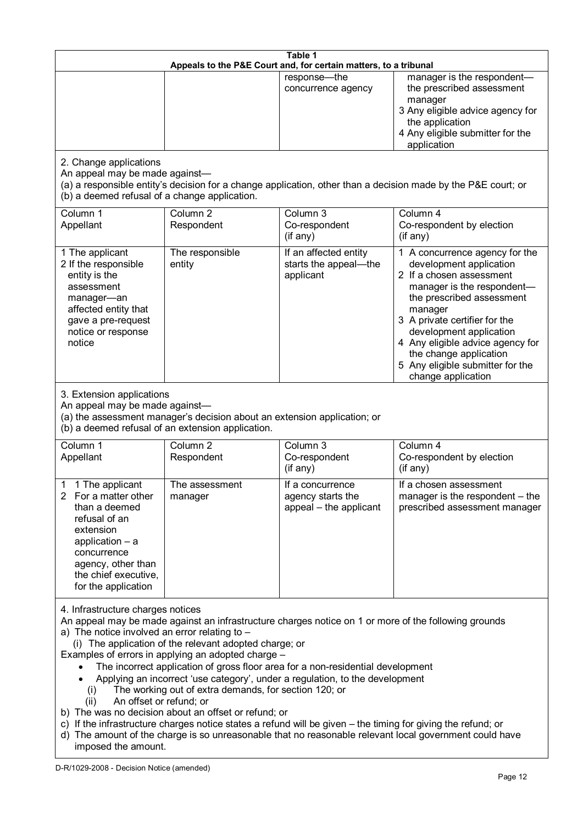| Table 1<br>Appeals to the P&E Court and, for certain matters, to a tribunal                                                                                                                                                                                                                                                                                                                                                                                                                                                                                                                                                                                                                                                                                                                                                                                                               |                                                                                                                               |                                                                 |                                                                                                                                                                                                                                                                                                                                                 |
|-------------------------------------------------------------------------------------------------------------------------------------------------------------------------------------------------------------------------------------------------------------------------------------------------------------------------------------------------------------------------------------------------------------------------------------------------------------------------------------------------------------------------------------------------------------------------------------------------------------------------------------------------------------------------------------------------------------------------------------------------------------------------------------------------------------------------------------------------------------------------------------------|-------------------------------------------------------------------------------------------------------------------------------|-----------------------------------------------------------------|-------------------------------------------------------------------------------------------------------------------------------------------------------------------------------------------------------------------------------------------------------------------------------------------------------------------------------------------------|
|                                                                                                                                                                                                                                                                                                                                                                                                                                                                                                                                                                                                                                                                                                                                                                                                                                                                                           |                                                                                                                               | response-the<br>concurrence agency                              | manager is the respondent-<br>the prescribed assessment<br>manager<br>3 Any eligible advice agency for<br>the application<br>4 Any eligible submitter for the<br>application                                                                                                                                                                    |
| 2. Change applications<br>An appeal may be made against-<br>(b) a deemed refusal of a change application.                                                                                                                                                                                                                                                                                                                                                                                                                                                                                                                                                                                                                                                                                                                                                                                 |                                                                                                                               |                                                                 | (a) a responsible entity's decision for a change application, other than a decision made by the P&E court; or                                                                                                                                                                                                                                   |
| Column 1<br>Appellant                                                                                                                                                                                                                                                                                                                                                                                                                                                                                                                                                                                                                                                                                                                                                                                                                                                                     | Column <sub>2</sub><br>Respondent                                                                                             | Column <sub>3</sub><br>Co-respondent<br>(if any)                | Column 4<br>Co-respondent by election<br>(if any)                                                                                                                                                                                                                                                                                               |
| 1 The applicant<br>2 If the responsible<br>entity is the<br>assessment<br>manager-an<br>affected entity that<br>gave a pre-request<br>notice or response<br>notice                                                                                                                                                                                                                                                                                                                                                                                                                                                                                                                                                                                                                                                                                                                        | The responsible<br>entity                                                                                                     | If an affected entity<br>starts the appeal-the<br>applicant     | 1 A concurrence agency for the<br>development application<br>2 If a chosen assessment<br>manager is the respondent-<br>the prescribed assessment<br>manager<br>3 A private certifier for the<br>development application<br>4 Any eligible advice agency for<br>the change application<br>5 Any eligible submitter for the<br>change application |
| 3. Extension applications<br>An appeal may be made against-                                                                                                                                                                                                                                                                                                                                                                                                                                                                                                                                                                                                                                                                                                                                                                                                                               | (a) the assessment manager's decision about an extension application; or<br>(b) a deemed refusal of an extension application. |                                                                 |                                                                                                                                                                                                                                                                                                                                                 |
| Column 1<br>Appellant                                                                                                                                                                                                                                                                                                                                                                                                                                                                                                                                                                                                                                                                                                                                                                                                                                                                     | Column <sub>2</sub><br>Respondent                                                                                             | Column 3<br>Co-respondent<br>(if any)                           | Column 4<br>Co-respondent by election<br>(if any)                                                                                                                                                                                                                                                                                               |
| 1 1 The applicant<br>2 For a matter other<br>than a deemed<br>refusal of an<br>extension<br>application - a<br>concurrence<br>agency, other than<br>the chief executive,<br>for the application                                                                                                                                                                                                                                                                                                                                                                                                                                                                                                                                                                                                                                                                                           | The assessment<br>manager                                                                                                     | If a concurrence<br>agency starts the<br>appeal - the applicant | If a chosen assessment<br>manager is the respondent – the<br>prescribed assessment manager                                                                                                                                                                                                                                                      |
| 4. Infrastructure charges notices<br>An appeal may be made against an infrastructure charges notice on 1 or more of the following grounds<br>a) The notice involved an error relating to -<br>(i) The application of the relevant adopted charge; or<br>Examples of errors in applying an adopted charge -<br>The incorrect application of gross floor area for a non-residential development<br>Applying an incorrect 'use category', under a regulation, to the development<br>The working out of extra demands, for section 120; or<br>(i)<br>An offset or refund; or<br>(ii)<br>b) The was no decision about an offset or refund; or<br>c) If the infrastructure charges notice states a refund will be given – the timing for giving the refund; or<br>d) The amount of the charge is so unreasonable that no reasonable relevant local government could have<br>imposed the amount. |                                                                                                                               |                                                                 |                                                                                                                                                                                                                                                                                                                                                 |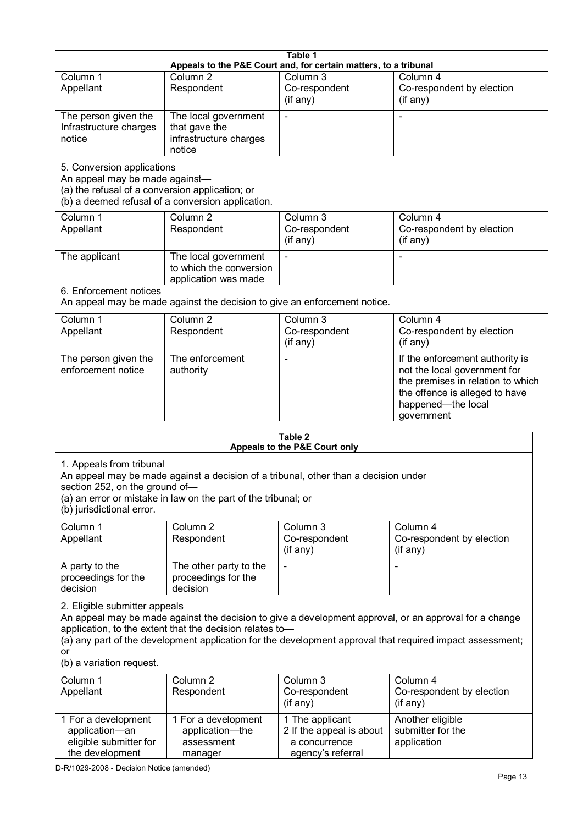|                                                                                                                 |                                                                                                                                                       | Table 1                                                                           |                                                                                                                                                                                                                     |
|-----------------------------------------------------------------------------------------------------------------|-------------------------------------------------------------------------------------------------------------------------------------------------------|-----------------------------------------------------------------------------------|---------------------------------------------------------------------------------------------------------------------------------------------------------------------------------------------------------------------|
|                                                                                                                 |                                                                                                                                                       | Appeals to the P&E Court and, for certain matters, to a tribunal                  |                                                                                                                                                                                                                     |
| Column 1<br>Appellant                                                                                           | Column <sub>2</sub><br>Respondent                                                                                                                     | Column 3<br>Co-respondent<br>(if any)                                             | Column 4<br>Co-respondent by election<br>(if any)                                                                                                                                                                   |
| The person given the<br>Infrastructure charges<br>notice                                                        | The local government<br>that gave the<br>infrastructure charges<br>notice                                                                             | L,                                                                                | ÷,                                                                                                                                                                                                                  |
| 5. Conversion applications<br>An appeal may be made against-<br>(a) the refusal of a conversion application; or | (b) a deemed refusal of a conversion application.                                                                                                     |                                                                                   |                                                                                                                                                                                                                     |
| Column 1<br>Appellant                                                                                           | Column <sub>2</sub><br>Respondent                                                                                                                     | Column 3<br>Co-respondent<br>(if any)                                             | Column 4<br>Co-respondent by election<br>(if any)                                                                                                                                                                   |
| The applicant                                                                                                   | The local government<br>to which the conversion<br>application was made                                                                               |                                                                                   |                                                                                                                                                                                                                     |
| 6. Enforcement notices                                                                                          | An appeal may be made against the decision to give an enforcement notice.                                                                             |                                                                                   |                                                                                                                                                                                                                     |
| Column 1<br>Appellant                                                                                           | Column <sub>2</sub><br>Respondent                                                                                                                     | Column 3<br>Co-respondent<br>(if any)                                             | Column 4<br>Co-respondent by election<br>(if any)                                                                                                                                                                   |
| The person given the<br>enforcement notice                                                                      | The enforcement<br>authority                                                                                                                          |                                                                                   | If the enforcement authority is<br>not the local government for<br>the premises in relation to which<br>the offence is alleged to have<br>happened-the local<br>government                                          |
|                                                                                                                 |                                                                                                                                                       | Table 2                                                                           |                                                                                                                                                                                                                     |
| 1. Appeals from tribunal<br>section 252, on the ground of-<br>(b) jurisdictional error.                         | An appeal may be made against a decision of a tribunal, other than a decision under<br>(a) an error or mistake in law on the part of the tribunal; or | Appeals to the P&E Court only                                                     |                                                                                                                                                                                                                     |
| Column 1<br>Appellant                                                                                           | Column <sub>2</sub><br>Respondent                                                                                                                     | Column 3<br>Co-respondent<br>(i f any)                                            | Column 4<br>Co-respondent by election<br>(i f any)                                                                                                                                                                  |
| A party to the<br>proceedings for the<br>decision                                                               | The other party to the<br>proceedings for the<br>decision                                                                                             |                                                                                   |                                                                                                                                                                                                                     |
| 2. Eligible submitter appeals<br>or<br>(b) a variation request.                                                 | application, to the extent that the decision relates to-                                                                                              |                                                                                   | An appeal may be made against the decision to give a development approval, or an approval for a change<br>(a) any part of the development application for the development approval that required impact assessment; |
| Column 1<br>Appellant                                                                                           | Column <sub>2</sub><br>Respondent                                                                                                                     | Column 3<br>Co-respondent<br>(i f any)                                            | Column 4<br>Co-respondent by election<br>(if any)                                                                                                                                                                   |
| 1 For a development<br>application-an<br>eligible submitter for<br>the development                              | 1 For a development<br>application-the<br>assessment<br>manager                                                                                       | 1 The applicant<br>2 If the appeal is about<br>a concurrence<br>agency's referral | Another eligible<br>submitter for the<br>application                                                                                                                                                                |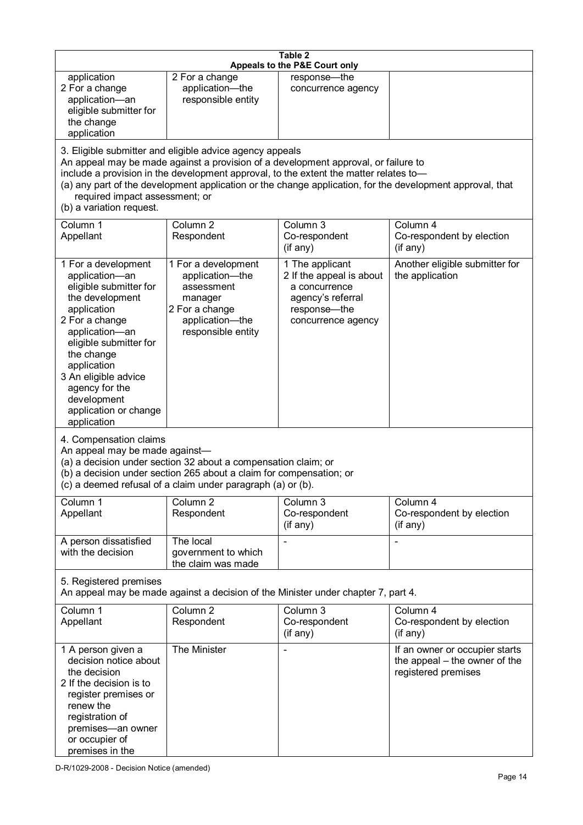| Table 2<br>Appeals to the P&E Court only                                                                                                                                                                                                                                                      |                                                                                                                                                                                                                                         |                                                                                                                         |                                                                                                           |
|-----------------------------------------------------------------------------------------------------------------------------------------------------------------------------------------------------------------------------------------------------------------------------------------------|-----------------------------------------------------------------------------------------------------------------------------------------------------------------------------------------------------------------------------------------|-------------------------------------------------------------------------------------------------------------------------|-----------------------------------------------------------------------------------------------------------|
| application<br>2 For a change<br>application-an<br>eligible submitter for<br>the change<br>application                                                                                                                                                                                        | 2 For a change<br>application-the<br>responsible entity                                                                                                                                                                                 | response-the<br>concurrence agency                                                                                      |                                                                                                           |
| required impact assessment; or<br>(b) a variation request.                                                                                                                                                                                                                                    | 3. Eligible submitter and eligible advice agency appeals<br>An appeal may be made against a provision of a development approval, or failure to<br>include a provision in the development approval, to the extent the matter relates to- |                                                                                                                         | (a) any part of the development application or the change application, for the development approval, that |
| Column 1<br>Appellant                                                                                                                                                                                                                                                                         | Column <sub>2</sub><br>Respondent                                                                                                                                                                                                       | Column $3$<br>Co-respondent<br>(if any)                                                                                 | Column 4<br>Co-respondent by election<br>(if any)                                                         |
| 1 For a development<br>application-an<br>eligible submitter for<br>the development<br>application<br>2 For a change<br>application-an<br>eligible submitter for<br>the change<br>application<br>3 An eligible advice<br>agency for the<br>development<br>application or change<br>application | 1 For a development<br>application-the<br>assessment<br>manager<br>2 For a change<br>application-the<br>responsible entity                                                                                                              | 1 The applicant<br>2 If the appeal is about<br>a concurrence<br>agency's referral<br>response-the<br>concurrence agency | Another eligible submitter for<br>the application                                                         |
| 4. Compensation claims<br>An appeal may be made against-                                                                                                                                                                                                                                      | (a) a decision under section 32 about a compensation claim; or<br>(b) a decision under section 265 about a claim for compensation; or<br>(c) a deemed refusal of a claim under paragraph (a) or (b).                                    |                                                                                                                         |                                                                                                           |
| Column 1<br>Appellant                                                                                                                                                                                                                                                                         | Column 2<br>Respondent                                                                                                                                                                                                                  | Column 3<br>Co-respondent<br>(if any)                                                                                   | Column 4<br>Co-respondent by election<br>(if any)                                                         |
| A person dissatisfied<br>with the decision                                                                                                                                                                                                                                                    | The local<br>government to which<br>the claim was made                                                                                                                                                                                  |                                                                                                                         |                                                                                                           |
| 5. Registered premises                                                                                                                                                                                                                                                                        | An appeal may be made against a decision of the Minister under chapter 7, part 4.                                                                                                                                                       |                                                                                                                         |                                                                                                           |
| Column 1<br>Appellant                                                                                                                                                                                                                                                                         | Column <sub>2</sub><br>Respondent                                                                                                                                                                                                       | Column 3<br>Co-respondent<br>(if any)                                                                                   | Column 4<br>Co-respondent by election<br>(if any)                                                         |
| 1 A person given a<br>decision notice about<br>the decision<br>2 If the decision is to<br>register premises or<br>renew the<br>registration of<br>premises-an owner<br>or occupier of<br>premises in the                                                                                      | The Minister                                                                                                                                                                                                                            |                                                                                                                         | If an owner or occupier starts<br>the appeal – the owner of the<br>registered premises                    |

D-R/1029-2008 - Decision Notice (amended)